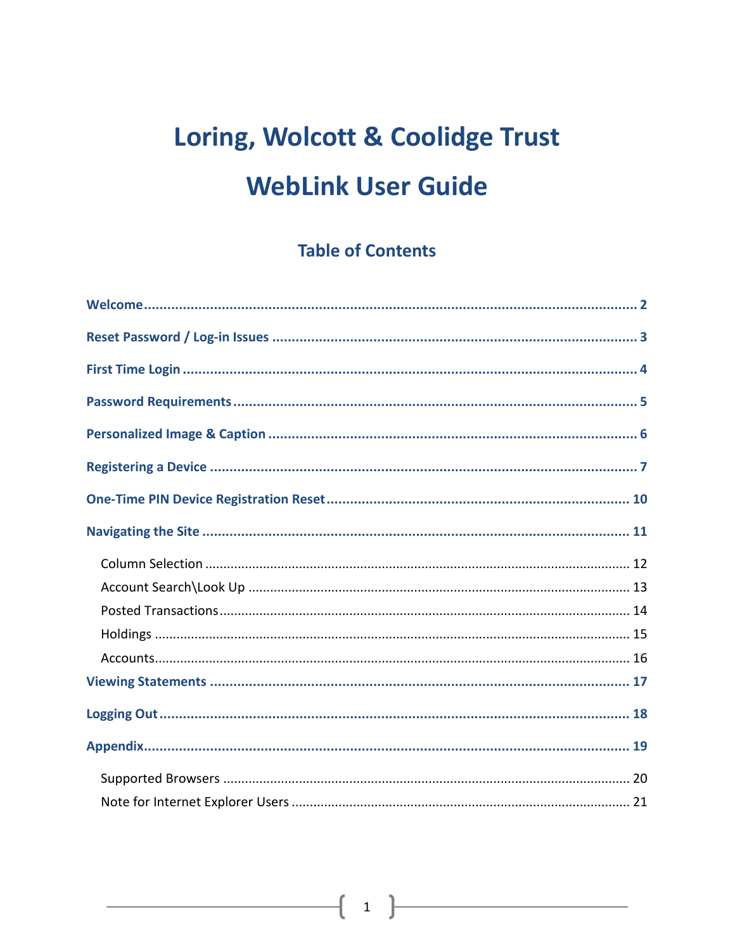# Loring, Wolcott & Coolidge Trust **WebLink User Guide**

### **Table of Contents**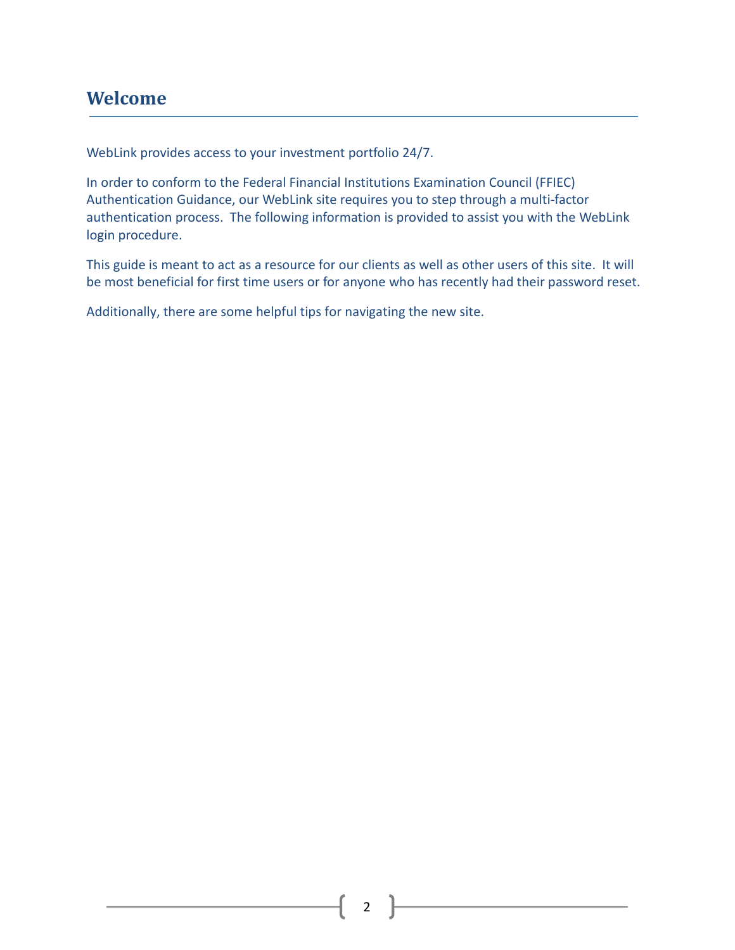## <span id="page-1-0"></span>**Welcome**

WebLink provides access to your investment portfolio 24/7.

In order to conform to the Federal Financial Institutions Examination Council (FFIEC) Authentication Guidance, our WebLink site requires you to step through a multi-factor authentication process. The following information is provided to assist you with the WebLink login procedure.

This guide is meant to act as a resource for our clients as well as other users of this site. It will be most beneficial for first time users or for anyone who has recently had their password reset.

Additionally, there are some helpful tips for navigating the new site.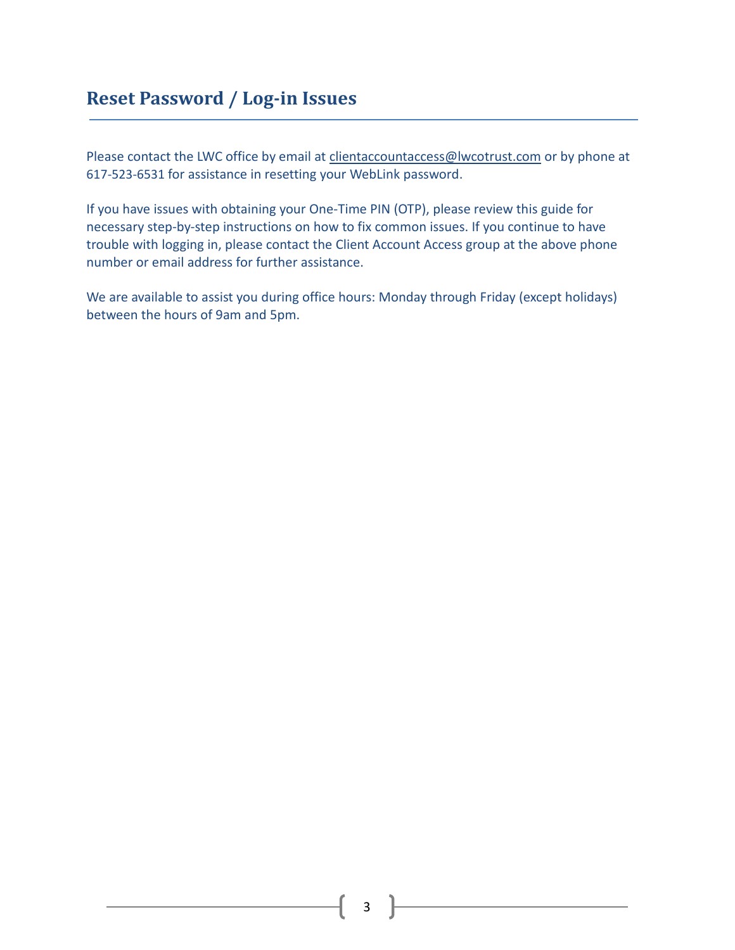# <span id="page-2-0"></span>**Reset Password / Log-in Issues**

Please contact the LWC office by email at [clientaccountaccess@lwcotrust.com](mailto:clientaccountaccess@lwcotrust.com) or by phone at 617-523-6531 for assistance in resetting your WebLink password.

If you have issues with obtaining your One-Time PIN (OTP), please review this guide for necessary step-by-step instructions on how to fix common issues. If you continue to have trouble with logging in, please contact the Client Account Access group at the above phone number or email address for further assistance.

We are available to assist you during office hours: Monday through Friday (except holidays) between the hours of 9am and 5pm.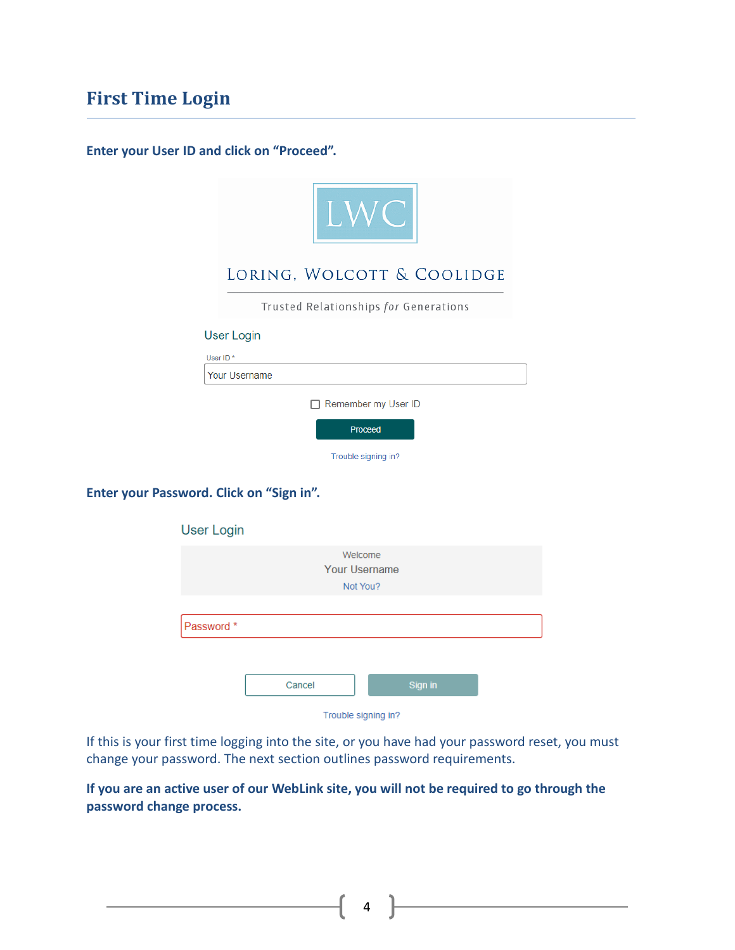# <span id="page-3-0"></span>**First Time Login**

**Enter your User ID and click on "Proceed".**

| LWC                                   |
|---------------------------------------|
| LORING, WOLCOTT & COOLIDGE            |
| Trusted Relationships for Generations |
| <b>User Login</b>                     |
| User ID <sup>*</sup>                  |
| Your Username                         |
| Remember my User ID                   |
| Proceed                               |
| Trouble signing in?                   |
|                                       |

**Enter your Password. Click on "Sign in".** 

| <b>User Login</b> |        |                      |         |  |
|-------------------|--------|----------------------|---------|--|
|                   |        | Welcome              |         |  |
|                   |        | <b>Your Username</b> |         |  |
|                   |        | Not You?             |         |  |
|                   |        |                      |         |  |
| Password *        |        |                      |         |  |
|                   |        |                      |         |  |
|                   |        |                      |         |  |
|                   | Cancel |                      | Sign in |  |
|                   |        | Trouble signing in?  |         |  |

Trouble signing in?

If this is your first time logging into the site, or you have had your password reset, you must change your password. The next section outlines password requirements.

**If you are an active user of our WebLink site, you will not be required to go through the password change process.**

 $4$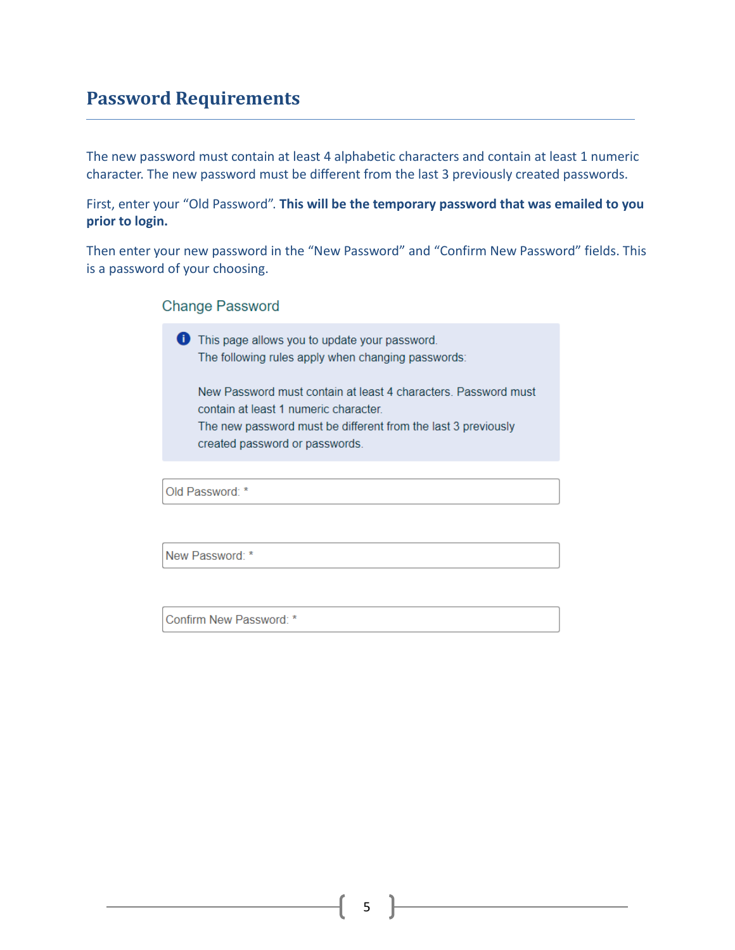### <span id="page-4-0"></span>**Password Requirements**

The new password must contain at least 4 alphabetic characters and contain at least 1 numeric character. The new password must be different from the last 3 previously created passwords.

First, enter your "Old Password". **This will be the temporary password that was emailed to you prior to login.**

Then enter your new password in the "New Password" and "Confirm New Password" fields. This is a password of your choosing.

#### **Change Password**

This page allows you to update your password. The following rules apply when changing passwords:

New Password must contain at least 4 characters. Password must contain at least 1 numeric character. The new password must be different from the last 3 previously created password or passwords.

Old Password: \*

New Password: \*

Confirm New Password: \*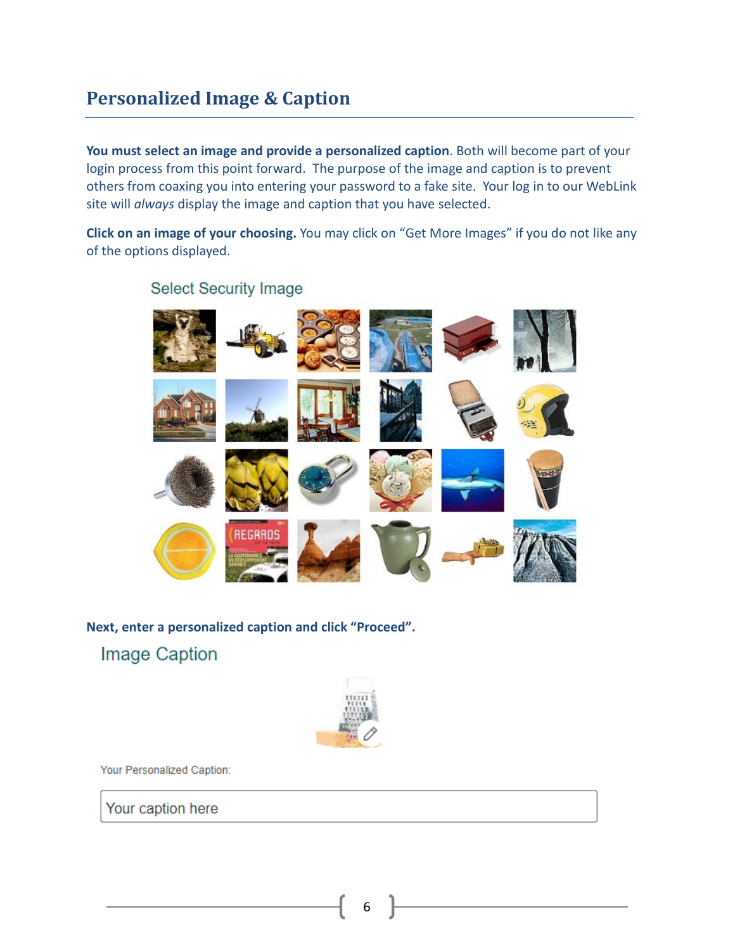# <span id="page-5-0"></span>**Personalized Image & Caption**

**You must select an image and provide a personalized caption**. Both will become part of your login process from this point forward. The purpose of the image and caption is to prevent others from coaxing you into entering your password to a fake site. Your log in to our WebLink site will *always* display the image and caption that you have selected.

**Click on an image of your choosing.** You may click on "Get More Images" if you do not like any of the options displayed.



### **Select Security Image**

**Next, enter a personalized caption and click "Proceed".Image Caption** 



Your Personalized Caption:

Your caption here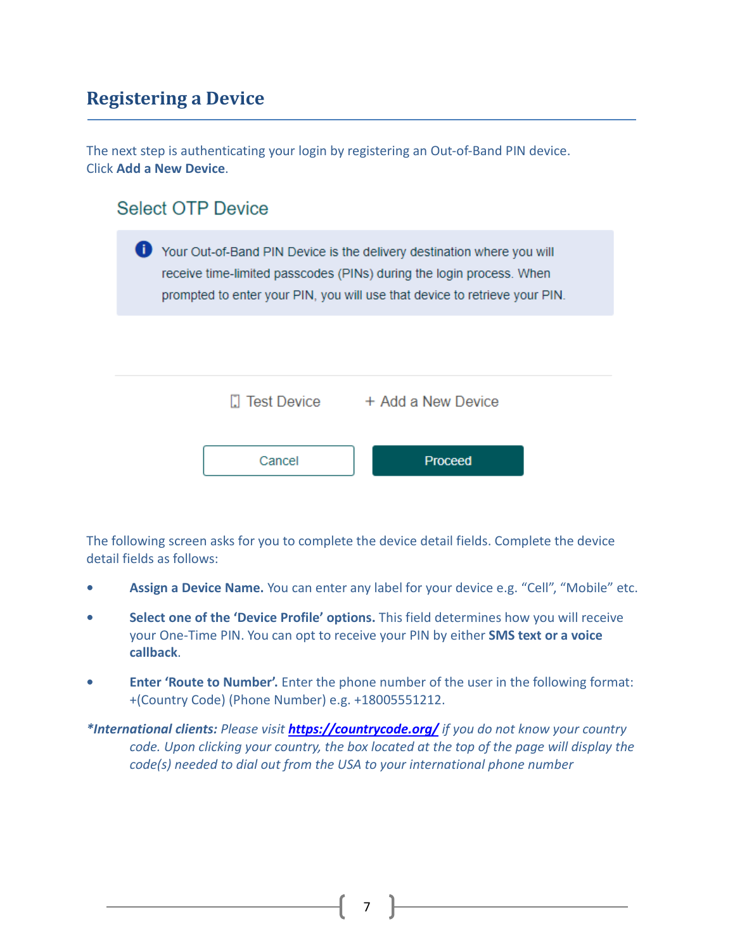## <span id="page-6-0"></span>**Registering a Device**

The next step is authenticating your login by registering an Out-of-Band PIN device. Click **Add a New Device**.

### **Select OTP Device**

|        | Your Out-of-Band PIN Device is the delivery destination where you will<br>receive time-limited passcodes (PINs) during the login process. When<br>prompted to enter your PIN, you will use that device to retrieve your PIN. |  |
|--------|------------------------------------------------------------------------------------------------------------------------------------------------------------------------------------------------------------------------------|--|
|        |                                                                                                                                                                                                                              |  |
|        | Test Device + Add a New Device                                                                                                                                                                                               |  |
| Cancel | Proceed                                                                                                                                                                                                                      |  |

The following screen asks for you to complete the device detail fields. Complete the device detail fields as follows:

- **• Assign a Device Name.** You can enter any label for your device e.g. "Cell", "Mobile" etc.
- **• Select one of the 'Device Profile' options.** This field determines how you will receive your One-Time PIN. You can opt to receive your PIN by either **SMS text or a voice callback**.
- **• Enter 'Route to Number'.** Enter the phone number of the user in the following format: +(Country Code) (Phone Number) e.g. +18005551212.
- *\*International clients: Please visit <https://countrycode.org/> if you do not know your country code. Upon clicking your country, the box located at the top of the page will display the code(s) needed to dial out from the USA to your international phone number*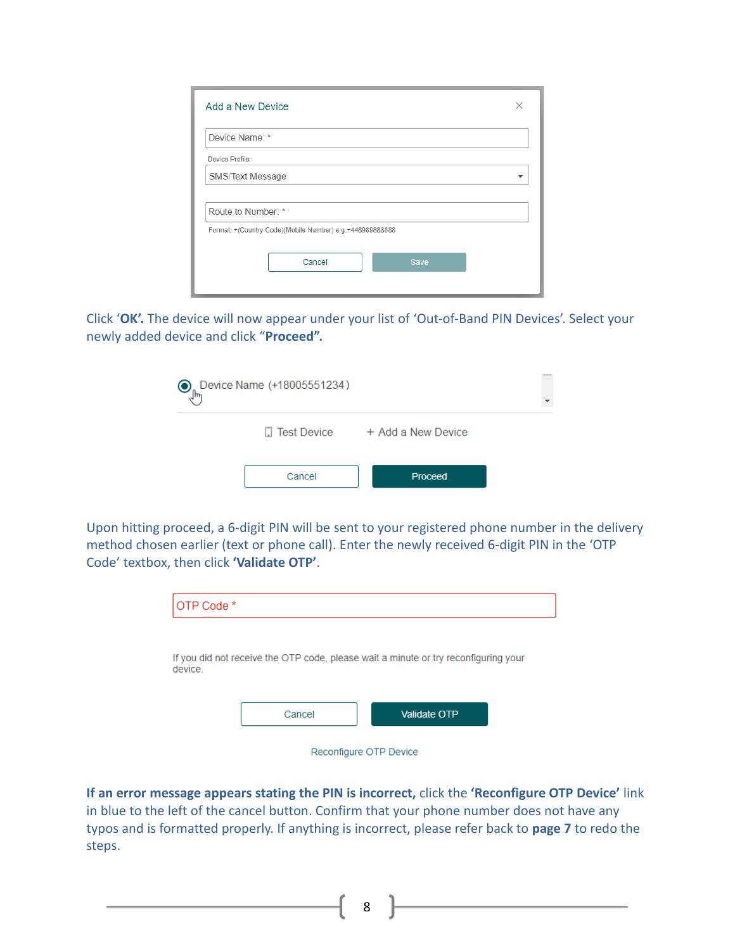| Add a New Device                                         | × |
|----------------------------------------------------------|---|
| Device Name: *                                           |   |
| Device Profile:                                          |   |
| SMS/Text Message                                         |   |
|                                                          |   |
| Route to Number: *                                       |   |
| Format: +(Country Code)(Mobile Number) e.g.+448989888888 |   |
| Cancel<br><b>Save</b>                                    |   |

Click '**OK'.** The device will now appear under your list of 'Out-of-Band PIN Devices'. Select your newly added device and click "**Proceed".**

| O | Cevice Name (+18005551234) |                    |  |
|---|----------------------------|--------------------|--|
|   | $\Box$ Test Device         | + Add a New Device |  |
|   | Cancel                     | Proceed            |  |

Upon hitting proceed, a 6-digit PIN will be sent to your registered phone number in the delivery method chosen earlier (text or phone call). Enter the newly received 6-digit PIN in the 'OTP Code' textbox, then click **'Validate OTP'**.

| OTP Code * |        |                                                                                     |  |
|------------|--------|-------------------------------------------------------------------------------------|--|
|            |        |                                                                                     |  |
| device.    |        | If you did not receive the OTP code, please wait a minute or try reconfiguring your |  |
|            | Cancel | <b>Validate OTP</b>                                                                 |  |
|            |        | Reconfigure OTP Device                                                              |  |

**If an error message appears stating the PIN is incorrect,** click the **'Reconfigure OTP Device'** link in blue to the left of the cancel button. Confirm that your phone number does not have any typos and is formatted properly. If anything is incorrect, please refer back to **page 7** to redo the steps.

8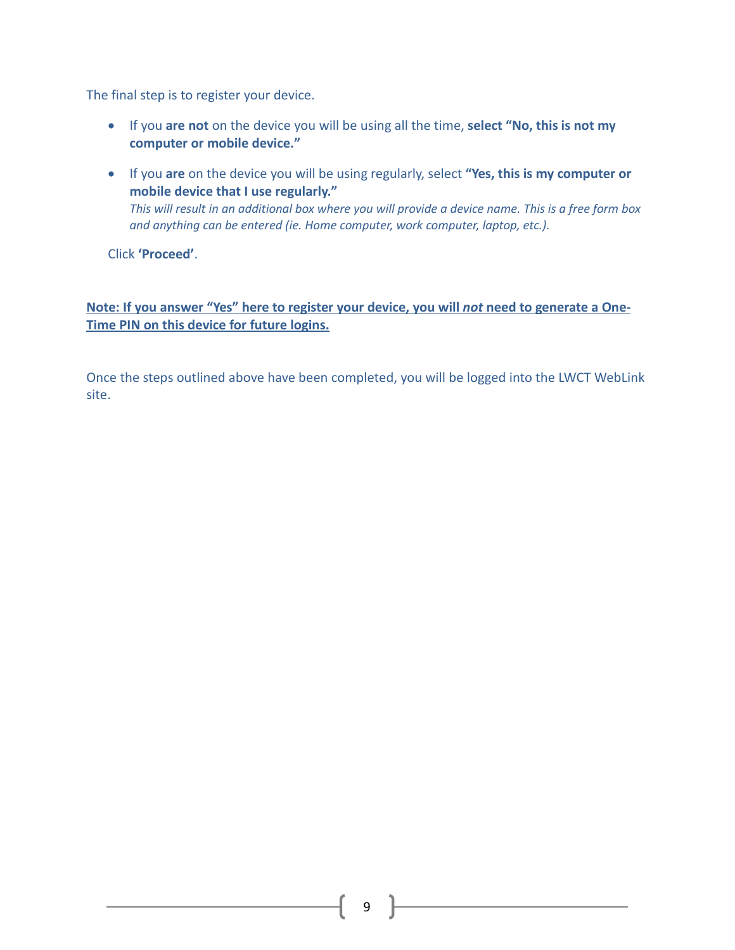The final step is to register your device.

- If you **are not** on the device you will be using all the time, **select "No, this is not my computer or mobile device."**
- If you **are** on the device you will be using regularly, select **"Yes, this is my computer or mobile device that I use regularly."** *This will result in an additional box where you will provide a device name. This is a free form box and anything can be entered (ie. Home computer, work computer, laptop, etc.).*

Click **'Proceed'**.

#### **Note: If you answer "Yes" here to register your device, you will** *not* **need to generate a One-Time PIN on this device for future logins.**

Once the steps outlined above have been completed, you will be logged into the LWCT WebLink site.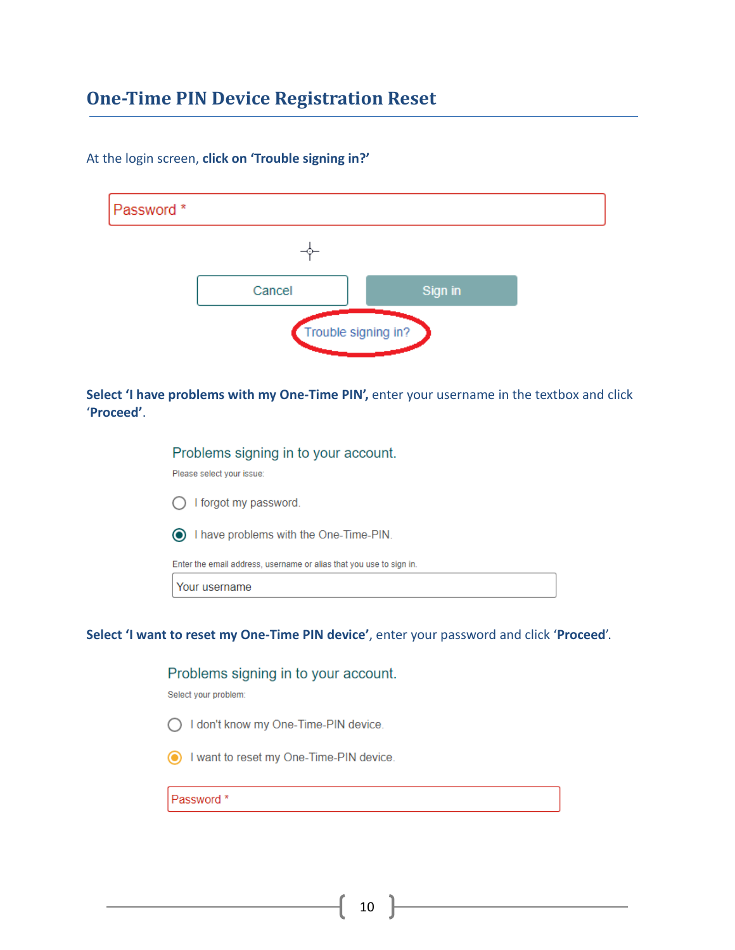## <span id="page-9-0"></span>**One-Time PIN Device Registration Reset**

| Password <sup>*</sup> |                     |         |  |
|-----------------------|---------------------|---------|--|
|                       |                     |         |  |
|                       | Cancel              | Sign in |  |
|                       | Trouble signing in? |         |  |

At the login screen, **click on 'Trouble signing in?'**

**Select 'I have problems with my One-Time PIN',** enter your username in the textbox and click '**Proceed'**.

> Problems signing in to your account. Please select your issue:  $\bigcap$  I forgot my password. I have problems with the One-Time-PIN. Enter the email address, username or alias that you use to sign in. Your username

**Select 'I want to reset my One-Time PIN device'**, enter your password and click '**Proceed**'.

# Problems signing in to your account. Select your problem:

◯ I don't know my One-Time-PIN device.

I want to reset my One-Time-PIN device.

Password \*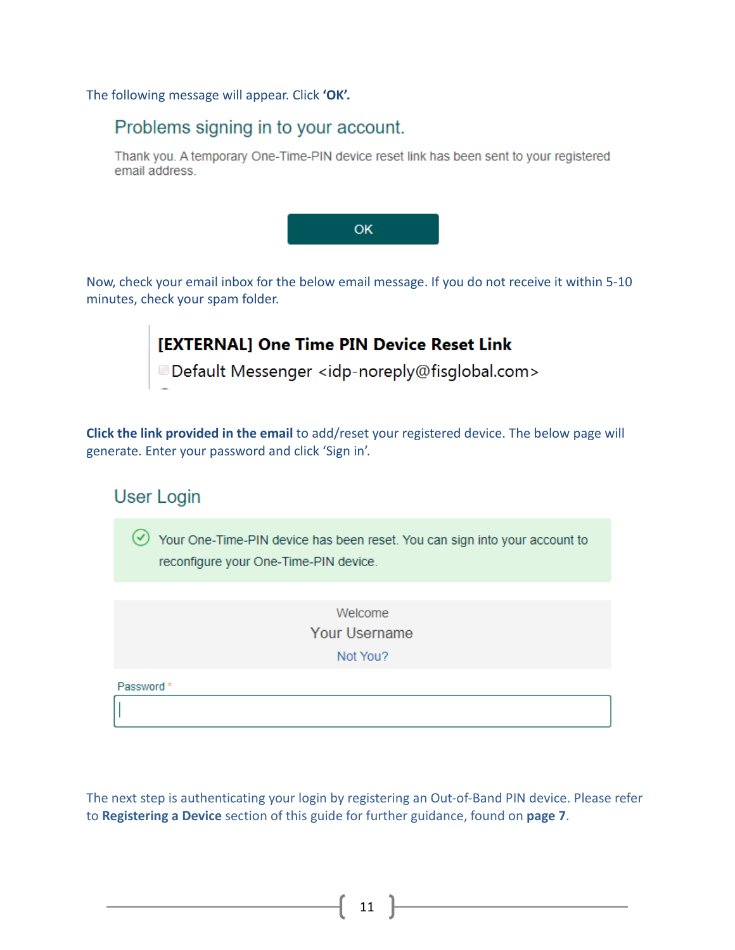The following message will appear. Click **'OK'.** 

### Problems signing in to your account.

Thank you. A temporary One-Time-PIN device reset link has been sent to your registered email address.



Now, check your email inbox for the below email message. If you do not receive it within 5-10 minutes, check your spam folder.



**Click the link provided in the email** to add/reset your registered device. The below page will generate. Enter your password and click 'Sign in'.

# **User Login**  $\heartsuit$  Your One-Time-PIN device has been reset. You can sign into your account to reconfigure your One-Time-PIN device. Welcome Your Username Not You? Password\*

The next step is authenticating your login by registering an Out-of-Band PIN device. Please refer to **Registering a Device** section of this guide for further guidance, found on **page 7**.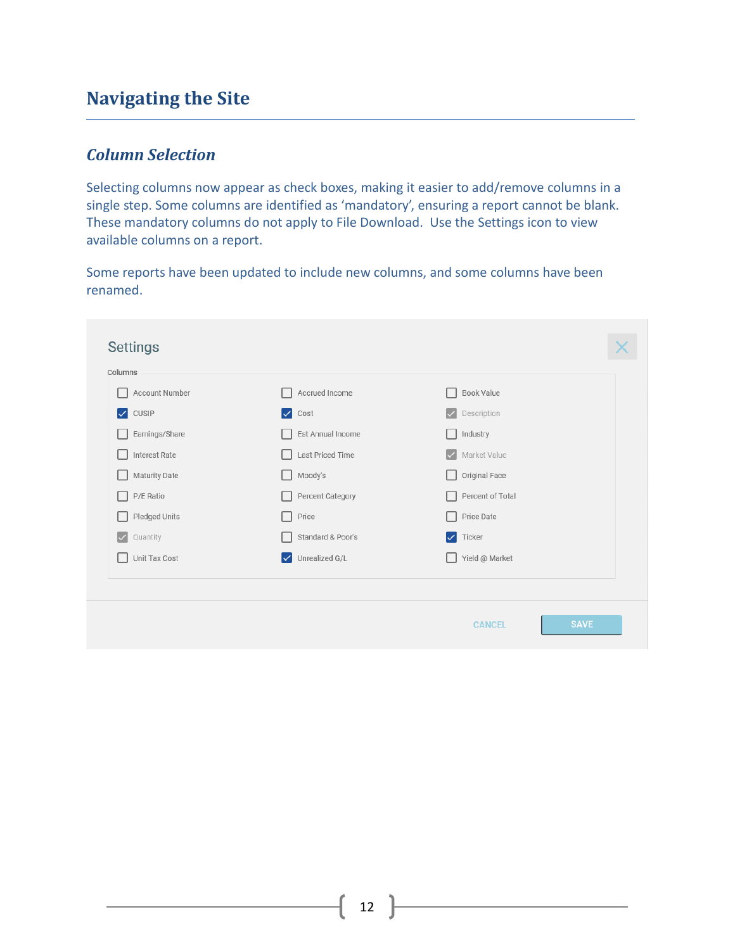## <span id="page-11-0"></span>**Navigating the Site**

### <span id="page-11-1"></span>*Column Selection*

Selecting columns now appear as check boxes, making it easier to add/remove columns in a single step. Some columns are identified as 'mandatory', ensuring a report cannot be blank. These mandatory columns do not apply to File Download. Use the Settings icon to view available columns on a report.

Some reports have been updated to include new columns, and some columns have been renamed.

| Account Number                   | Accrued Income                  | Book Value                  |  |
|----------------------------------|---------------------------------|-----------------------------|--|
| $\triangledown$ CUSIP            | $\vee$ Cost                     | $\vee$ Description          |  |
| Earnings/Share                   | Est Annual Income               | Industry                    |  |
| Interest Rate                    | Last Priced Time                | Market Value<br>$\sqrt{}$   |  |
| Maturity Date                    | Moody's                         | Original Face               |  |
| P/E Ratio                        | Percent Category                | Percent of Total            |  |
| Pledged Units                    | Price                           | Price Date                  |  |
| Quantity<br>$\blacktriangledown$ | Standard & Poor's               | $\sqrt{\phantom{a}}$ Ticker |  |
| Unit Tax Cost                    | Unrealized G/L<br>$\mathscr{A}$ | Yield @ Market              |  |
|                                  |                                 |                             |  |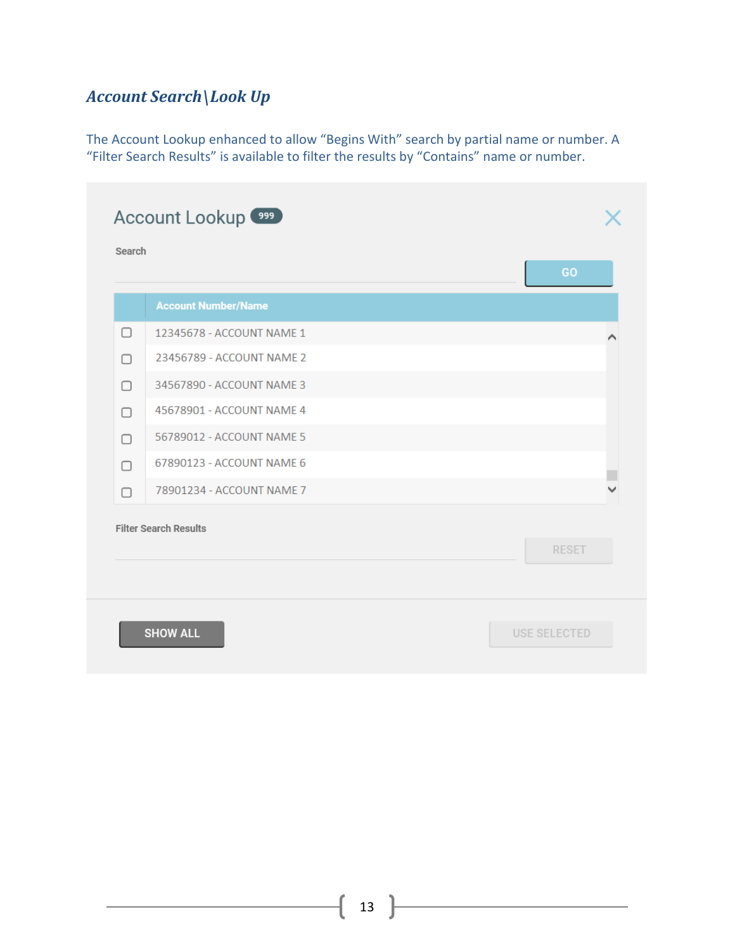## <span id="page-12-0"></span>*Account Search\Look Up*

The Account Lookup enhanced to allow "Begins With" search by partial name or number. A "Filter Search Results" is available to filter the results by "Contains" name or number.

|        |                              | GO           |
|--------|------------------------------|--------------|
|        | <b>Account Number/Name</b>   |              |
| ∩      | 12345678 - ACCOUNT NAME 1    |              |
| □      | 23456789 - ACCOUNT NAME 2    |              |
| ∩      | 34567890 - ACCOUNT NAME 3    |              |
| ∩      | 45678901 - ACCOUNT NAME 4    |              |
| $\Box$ | 56789012 - ACCOUNT NAME 5    |              |
| ∩      | 67890123 - ACCOUNT NAME 6    |              |
| $\Box$ | 78901234 - ACCOUNT NAME 7    |              |
|        | <b>Filter Search Results</b> |              |
|        |                              | <b>RESET</b> |
|        |                              |              |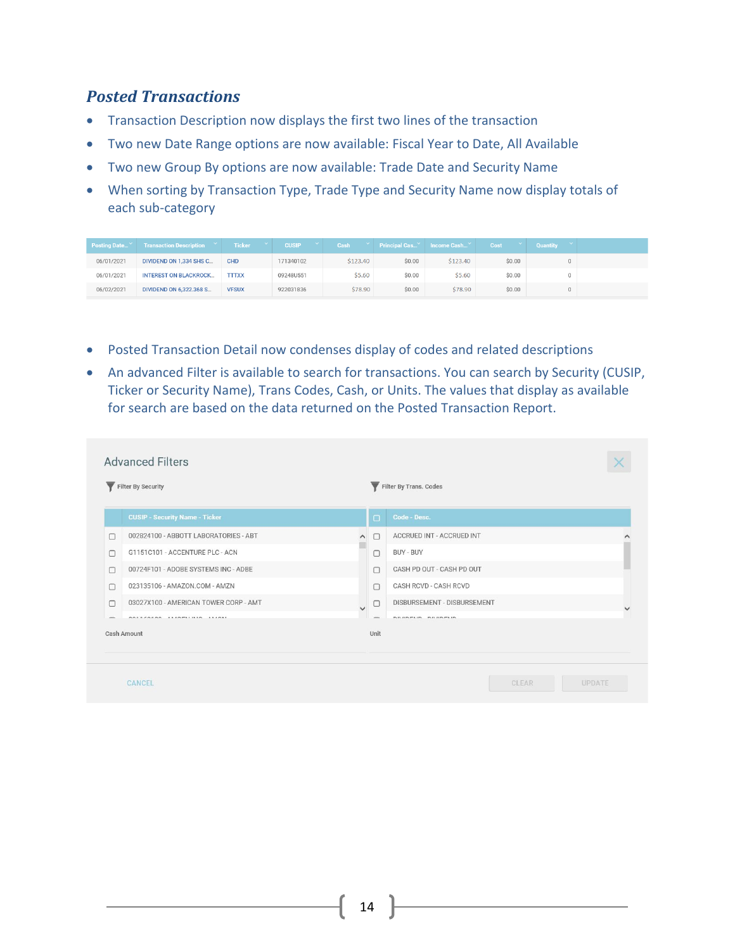### <span id="page-13-0"></span>*Posted Transactions*

- Transaction Description now displays the first two lines of the transaction
- Two new Date Range options are now available: Fiscal Year to Date, All Available
- Two new Group By options are now available: Trade Date and Security Name
- When sorting by Transaction Type, Trade Type and Security Name now display totals of each sub-category

| <b>Posting Date</b> | <b>Transaction Description Y</b> | <b>Ticker</b> | <b>CUSIP</b> | - V - 1<br>Cash |        | <b>Principal Cas Y</b> Income Cash Y | Cost   | <b>Quantity</b> |  |
|---------------------|----------------------------------|---------------|--------------|-----------------|--------|--------------------------------------|--------|-----------------|--|
| 06/01/2021          | DIVIDEND ON 1,334 SHS C          | <b>CHD</b>    | 171340102    | \$123,40        | \$0.00 | \$123.40                             | \$0.00 |                 |  |
| 06/01/2021          | <b>INTEREST ON BLACKROCK</b>     | <b>TTTXX</b>  | 09248U551    | \$5.60          | \$0.00 | \$5.60                               | \$0.00 |                 |  |
| 06/02/2021          | DIVIDEND ON 6.322.368 S          | <b>VFSUX</b>  | 922031836    | \$78.90         | \$0.00 | \$78.90                              | \$0.00 |                 |  |

- Posted Transaction Detail now condenses display of codes and related descriptions
- An advanced Filter is available to search for transactions. You can search by Security (CUSIP, Ticker or Security Name), Trans Codes, Cash, or Units. The values that display as available for search are based on the data returned on the Posted Transaction Report.

<span id="page-13-1"></span>

|        | Filter By Security                    |                |                          | Filter By Trans. Codes           |  |
|--------|---------------------------------------|----------------|--------------------------|----------------------------------|--|
|        | <b>CUSIP - Security Name - Ticker</b> |                | $\Box$                   | Code - Desc.                     |  |
| ⊓      | 002824100 - ABBOTT LABORATORIES - ABT | $\wedge$       | ∩                        | <b>ACCRUED INT - ACCRUED INT</b> |  |
| n      | G1151C101 - ACCENTURE PLC - ACN       |                | $\Box$                   | BUY - BUY                        |  |
| n      | 00724F101 - ADOBE SYSTEMS INC - ADBE  |                | ∩                        | CASH PD OUT - CASH PD OUT        |  |
| п      | 023135106 - AMAZON.COM - AMZN         |                | $\Box$                   | <b>CASH RCVD - CASH RCVD</b>     |  |
| ∩      | 03027X100 - AMERICAN TOWER CORP - AMT | $\overline{a}$ | $\Box$                   | DISBURSEMENT - DISBURSEMENT      |  |
| $\sim$ | GOSSZOSOO ALIGELINIA ALIGNI           |                | $\overline{\phantom{a}}$ | <b>BURDELIA</b> BURDELIA         |  |
|        | Cash Amount                           |                | Unit                     |                                  |  |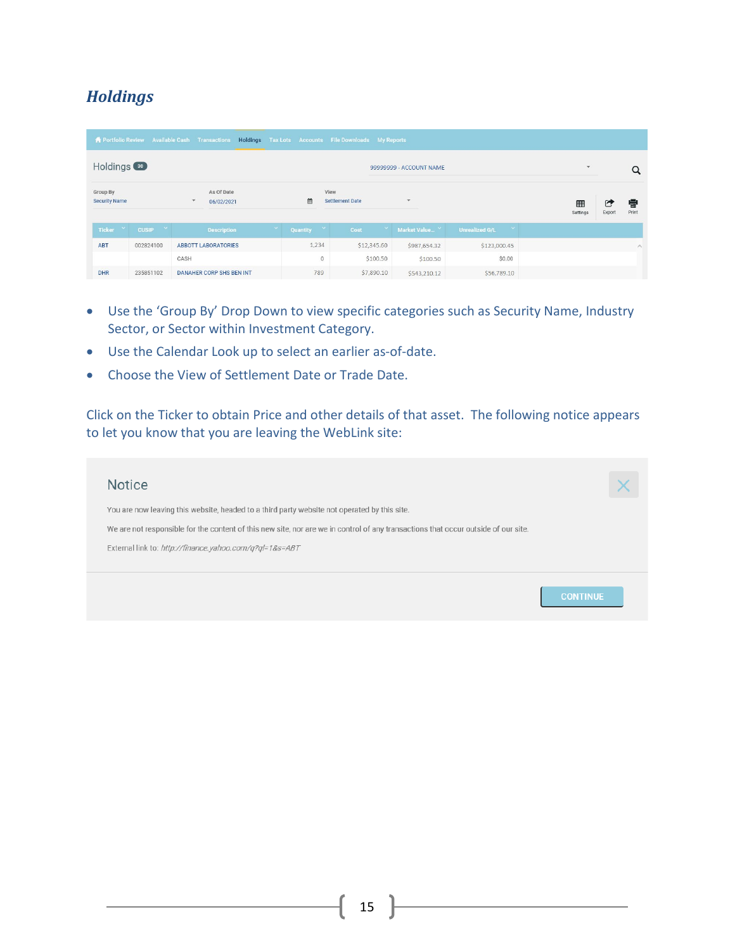### *Holdings*

|                                  |                           | <b>1</b> Portfolio Review Available Cash Transactions |                |                                 | Holdings Tax Lots Accounts File Downloads My Reports |             |                         |                                        |                          |        |            |
|----------------------------------|---------------------------|-------------------------------------------------------|----------------|---------------------------------|------------------------------------------------------|-------------|-------------------------|----------------------------------------|--------------------------|--------|------------|
| Holdings <sup>30</sup>           |                           |                                                       |                |                                 |                                                      |             | 99999999 - ACCOUNT NAME |                                        | $\overline{\phantom{a}}$ |        | $\alpha$   |
| Group By<br><b>Security Name</b> |                           | As Of Date<br>$\mathbf{v}$<br>06/02/2021              |                | ₿                               | View<br><b>Settlement Date</b>                       |             | $\mathbf{v}$            |                                        | 用<br>Settings            | Export | 骨<br>Print |
| Ticker Y                         | $\propto$<br><b>CUSIP</b> | <b>Description</b>                                    | $\mathbf{v}$ . | $\mathbf{v}$<br>Quantity        | Cost                                                 |             | Market Value Y          | $\mathcal{A}$<br><b>Unrealized G/L</b> |                          |        |            |
| <b>ABT</b>                       | 002824100                 | <b>ABBOTT LABORATORIES</b>                            |                | 1,234                           |                                                      | \$12,345.60 | \$987,654.32            | \$123,000.45                           |                          |        | $\wedge$   |
|                                  |                           | CASH                                                  |                | $\begin{matrix} 0 \end{matrix}$ |                                                      | \$100.50    | \$100.50                | \$0.00                                 |                          |        |            |
| <b>DHR</b>                       | 235851102                 | <b>DANAHER CORP SHS BEN INT</b>                       |                | 789                             |                                                      | \$7,890.10  | \$543,210.12            | \$56,789.10                            |                          |        |            |

- Use the 'Group By' Drop Down to view specific categories such as Security Name, Industry Sector, or Sector within Investment Category.
- Use the Calendar Look up to select an earlier as-of-date.
- Choose the View of Settlement Date or Trade Date.

Click on the Ticker to obtain Price and other details of that asset. The following notice appears to let you know that you are leaving the WebLink site:

| <b>Notice</b>                                                                                                                      |                 |
|------------------------------------------------------------------------------------------------------------------------------------|-----------------|
| You are now leaving this website, headed to a third party website not operated by this site.                                       |                 |
| We are not responsible for the content of this new site, nor are we in control of any transactions that occur outside of our site. |                 |
| External link to: http://finance.yahoo.com/q?ql=1&s=ABT                                                                            |                 |
|                                                                                                                                    |                 |
|                                                                                                                                    | <b>CONTINUE</b> |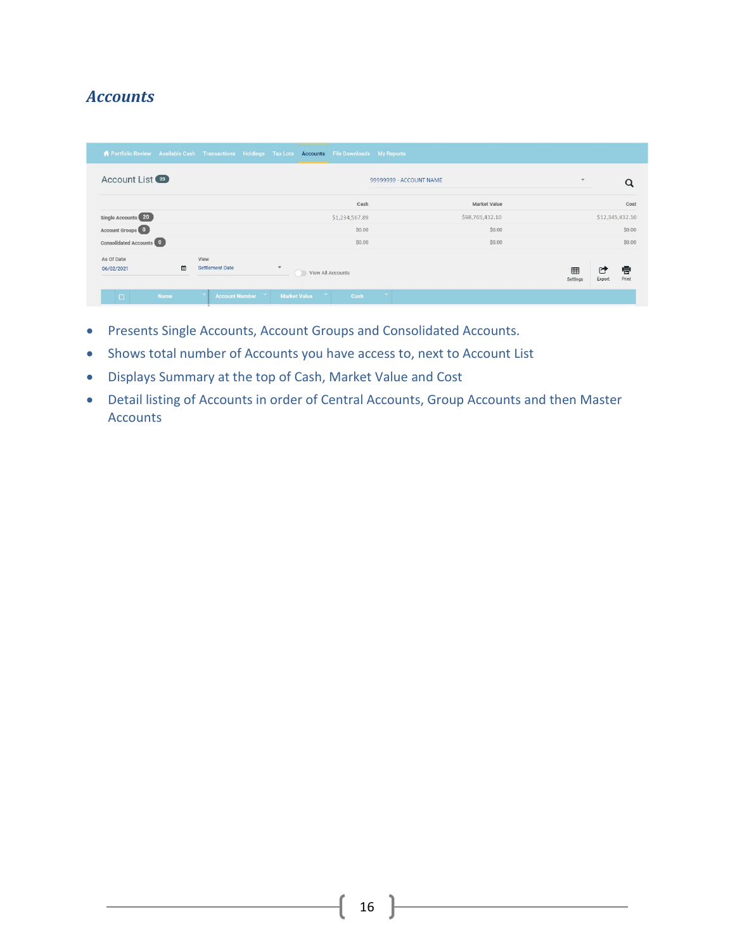### <span id="page-15-0"></span>*Accounts*

| <b>#</b> Portfolio Review Available Cash Transactions Holdings Tax Lots Accounts File Downloads My Reports |                                |                     |                         |                 |                              |                 |
|------------------------------------------------------------------------------------------------------------|--------------------------------|---------------------|-------------------------|-----------------|------------------------------|-----------------|
| Account List (20)                                                                                          |                                |                     | 99999999 - ACCOUNT NAME |                 | $\overline{\phantom{a}}$     | Q               |
|                                                                                                            |                                |                     | Cash                    | Market Value    |                              | Cost            |
| Single Accounts 20                                                                                         |                                |                     | \$1,234,567.89          | \$98,765,432.10 |                              | \$12,345,432.10 |
| Account Groups 0                                                                                           |                                |                     | \$0.00                  | \$0.00          |                              | \$0.00          |
| <b>Consolidated Accounts 0</b>                                                                             |                                |                     | \$0.00                  | \$0.00          |                              | \$0.00          |
| As Of Date<br>曲<br>06/02/2021                                                                              | View<br><b>Settlement Date</b> | $\rightarrow$       | View All Accounts       |                 | ▦<br>G<br>Settings<br>Export | 骨<br>Print      |
| <b>Name</b><br>$\Box$                                                                                      | $\sim$<br>Account Number       | <b>Market Value</b> | $\sim$<br>Cash          |                 |                              |                 |

- Presents Single Accounts, Account Groups and Consolidated Accounts.
- Shows total number of Accounts you have access to, next to Account List
- Displays Summary at the top of Cash, Market Value and Cost
- Detail listing of Accounts in order of Central Accounts, Group Accounts and then Master Accounts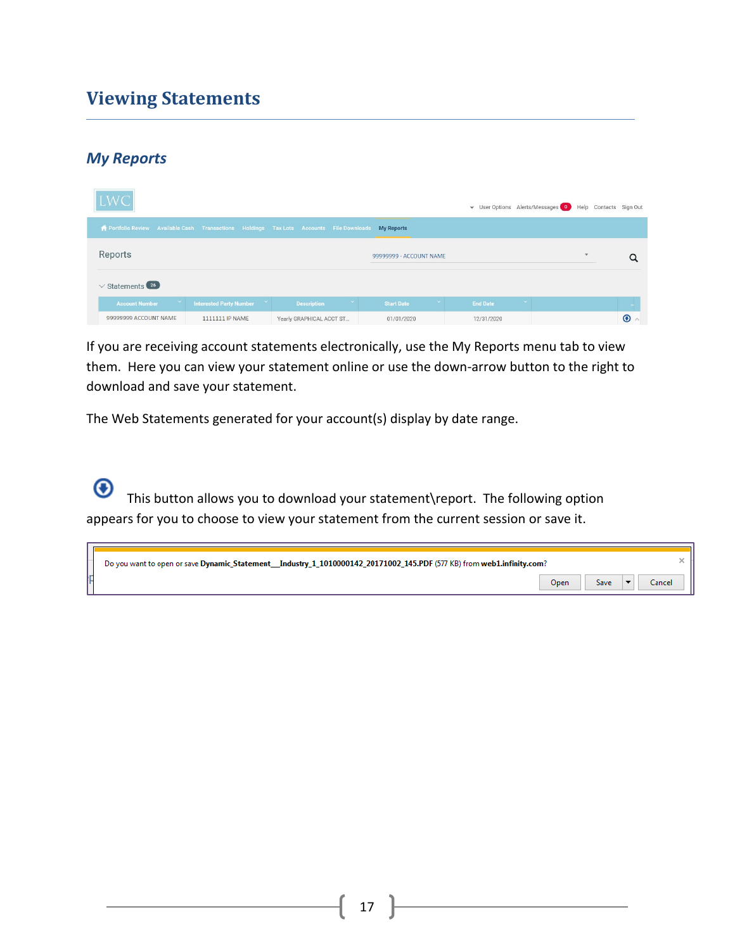## <span id="page-16-0"></span>**Viewing Statements**

### *My Reports*

| <b>LWC</b>                                                                                          |                                |                          |                         | v User Options Alerts/Messages 0 Help Contacts Sign Out |              |         |
|-----------------------------------------------------------------------------------------------------|--------------------------------|--------------------------|-------------------------|---------------------------------------------------------|--------------|---------|
| ▲ Portfolio Review Available Cash Transactions Holdings Tax Lots Accounts File Downloads My Reports |                                |                          |                         |                                                         |              |         |
| Reports                                                                                             |                                |                          | 99999999 - ACCOUNT NAME |                                                         | $\mathbf{v}$ |         |
| $\vee$ Statements (26)                                                                              |                                |                          |                         |                                                         |              |         |
| $\propto$<br><b>Account Number</b>                                                                  | <b>Interested Party Number</b> | <b>Description</b>       | <b>Start Date</b>       | $\mathbf{v}$<br><b>End Date</b>                         |              |         |
| 99999999 ACCOUNT NAME                                                                               | 1111111 IP NAME                | Yearly GRAPHICAL ACCT ST | 01/01/2020              | 12/31/2020                                              |              | $\odot$ |

If you are receiving account statements electronically, use the My Reports menu tab to view them. Here you can view your statement online or use the down-arrow button to the right to download and save your statement.

The Web Statements generated for your account(s) display by date range.

⊕ This button allows you to download your statement\report. The following option appears for you to choose to view your statement from the current session or save it.

| Do you want to open or save Dynamic_Statement__Industry_1_1010000142_20171002_145.PDF (577 KB) from web1.infinity.com? |      |      |        |
|------------------------------------------------------------------------------------------------------------------------|------|------|--------|
|                                                                                                                        | Open | Save | `ancel |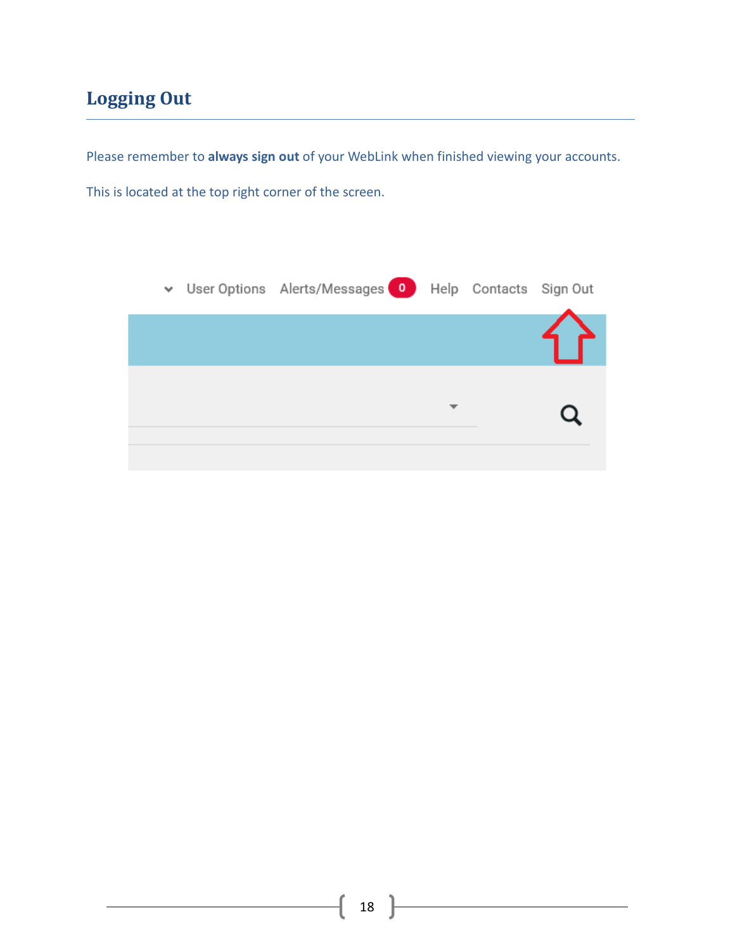# <span id="page-17-0"></span>**Logging Out**

Please remember to **always sign out** of your WebLink when finished viewing your accounts.

This is located at the top right corner of the screen.

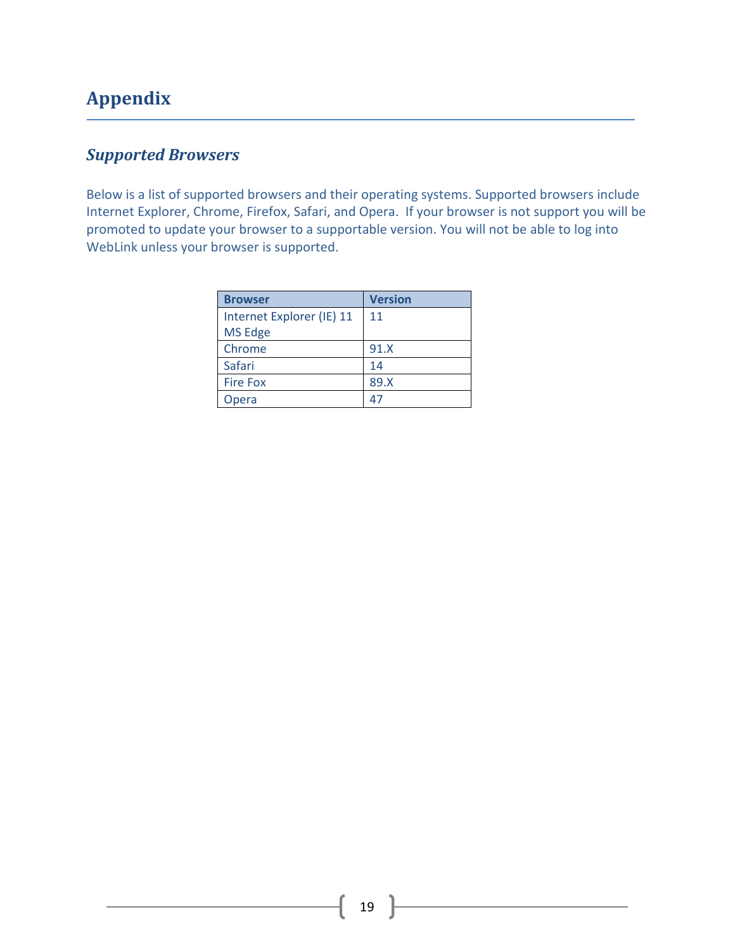# <span id="page-18-0"></span>**Appendix**

## <span id="page-18-1"></span>*Supported Browsers*

Below is a list of supported browsers and their operating systems. Supported browsers include Internet Explorer, Chrome, Firefox, Safari, and Opera. If your browser is not support you will be promoted to update your browser to a supportable version. You will not be able to log into WebLink unless your browser is supported.

| <b>Browser</b>                       | <b>Version</b> |
|--------------------------------------|----------------|
| Internet Explorer (IE) 11<br>MS Edge | 11             |
| Chrome                               | 91.X           |
| Safari                               | 14             |
| <b>Fire Fox</b>                      | 89.X           |
| Opera                                | $4^{\circ}$    |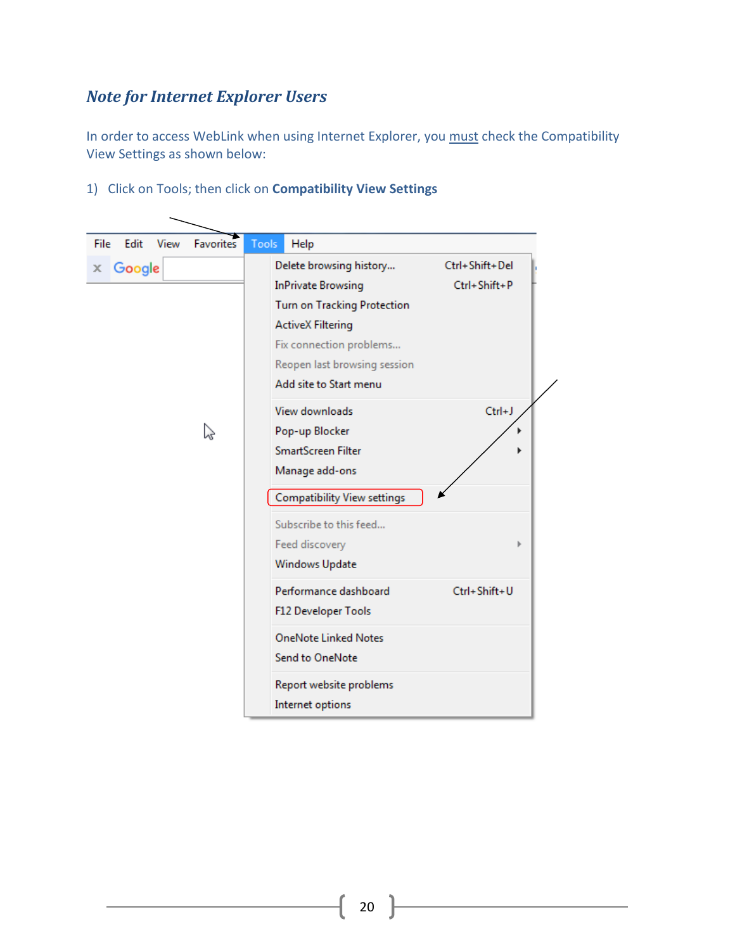### <span id="page-19-0"></span>*Note for Internet Explorer Users*

 $\overline{\phantom{0}}$ 

In order to access WebLink when using Internet Explorer, you must check the Compatibility View Settings as shown below:

1) Click on Tools; then click on **Compatibility View Settings**

| Edit<br>File | View | <b>Favorites</b> | Tools | Help                                                                                                                                                                                                        |                                |
|--------------|------|------------------|-------|-------------------------------------------------------------------------------------------------------------------------------------------------------------------------------------------------------------|--------------------------------|
| Google<br>x  |      |                  |       | Delete browsing history<br><b>InPrivate Browsing</b><br><b>Turn on Tracking Protection</b><br><b>ActiveX Filtering</b><br>Fix connection problems<br>Reopen last browsing session<br>Add site to Start menu | Ctrl+Shift+Del<br>Ctrl+Shift+P |
|              | ベ    |                  |       | View downloads<br>Pop-up Blocker<br>SmartScreen Filter<br>Manage add-ons<br>Compatibility View settings                                                                                                     | $Ctrl + J$                     |
|              |      |                  |       | Subscribe to this feed<br>Feed discovery<br>Windows Update                                                                                                                                                  | b                              |
|              |      |                  |       | Performance dashboard<br>F12 Developer Tools                                                                                                                                                                | Ctrl+Shift+U                   |
|              |      |                  |       | <b>OneNote Linked Notes</b><br><b>Send to OneNote</b>                                                                                                                                                       |                                |
|              |      |                  |       | Report website problems<br>Internet options                                                                                                                                                                 |                                |